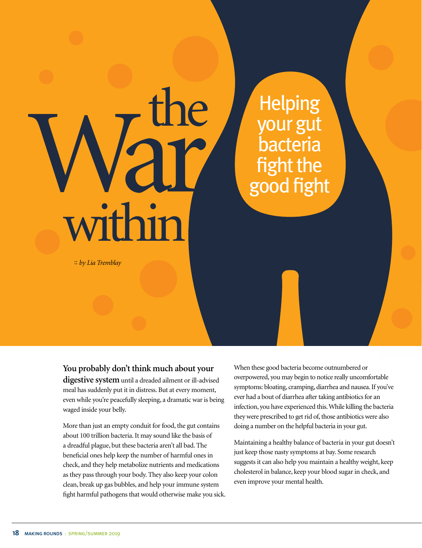## within :: *by Lia Tremblay*

**You probably don't think much about your digestive system** until a dreaded ailment or ill-advised

meal has suddenly put it in distress. But at every moment, even while you're peacefully sleeping, a dramatic war is being waged inside your belly.

The your gut<br>bacteria fight the good fight

the

More than just an empty conduit for food, the gut contains about 100 trillion bacteria. It may sound like the basis of a dreadful plague, but these bacteria aren't all bad. The beneficial ones help keep the number of harmful ones in check, and they help metabolize nutrients and medications as they pass through your body. They also keep your colon clean, break up gas bubbles, and help your immune system fight harmful pathogens that would otherwise make you sick. When these good bacteria become outnumbered or overpowered, you may begin to notice really uncomfortable symptoms: bloating, cramping, diarrhea and nausea. If you've ever had a bout of diarrhea after taking antibiotics for an infection, you have experienced this. While killing the bacteria they were prescribed to get rid of, those antibiotics were also doing a number on the helpful bacteria in your gut.

Helping

your gut

bacteria

Maintaining a healthy balance of bacteria in your gut doesn't just keep those nasty symptoms at bay. Some research suggests it can also help you maintain a healthy weight, keep cholesterol in balance, keep your blood sugar in check, and even improve your mental health.